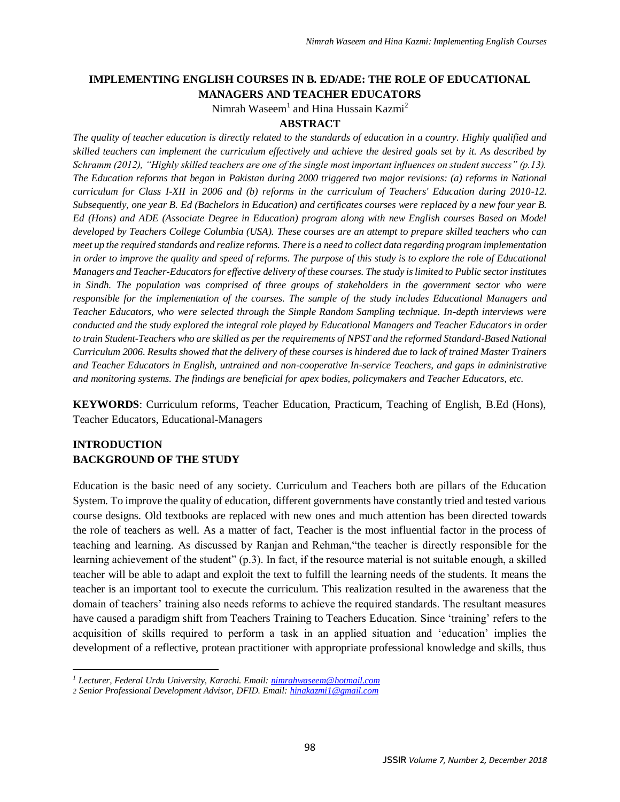# **IMPLEMENTING ENGLISH COURSES IN B. ED/ADE: THE ROLE OF EDUCATIONAL MANAGERS AND TEACHER EDUCATORS**

Nimrah Waseem<sup>1</sup> and Hina Hussain Kazmi<sup>2</sup>

#### **ABSTRACT**

*The quality of teacher education is directly related to the standards of education in a country. Highly qualified and skilled teachers can implement the curriculum effectively and achieve the desired goals set by it. As described by Schramm (2012), "Highly skilled teachers are one of the single most important influences on student success" (p.13). The Education reforms that began in Pakistan during 2000 triggered two major revisions: (a) reforms in National curriculum for Class I-XII in 2006 and (b) reforms in the curriculum of Teachers' Education during 2010-12. Subsequently, one year B. Ed (Bachelors in Education) and certificates courses were replaced by a new four year B. Ed (Hons) and ADE (Associate Degree in Education) program along with new English courses Based on Model developed by Teachers College Columbia (USA). These courses are an attempt to prepare skilled teachers who can meet up the required standards and realize reforms. There is a need to collect data regarding program implementation in order to improve the quality and speed of reforms. The purpose of this study is to explore the role of Educational Managers and Teacher-Educators for effective delivery of these courses. The study is limited to Public sector institutes in Sindh. The population was comprised of three groups of stakeholders in the government sector who were responsible for the implementation of the courses. The sample of the study includes Educational Managers and Teacher Educators, who were selected through the Simple Random Sampling technique. In-depth interviews were conducted and the study explored the integral role played by Educational Managers and Teacher Educators in order*  to train Student-Teachers who are skilled as per the requirements of NPST and the reformed Standard-Based National *Curriculum 2006. Results showed that the delivery of these courses is hindered due to lack of trained Master Trainers and Teacher Educators in English, untrained and non-cooperative In-service Teachers, and gaps in administrative and monitoring systems. The findings are beneficial for apex bodies, policymakers and Teacher Educators, etc.* 

**KEYWORDS**: Curriculum reforms, Teacher Education, Practicum, Teaching of English, B.Ed (Hons), Teacher Educators, Educational-Managers

## **INTRODUCTION BACKGROUND OF THE STUDY**

 $\overline{\phantom{a}}$ 

Education is the basic need of any society. Curriculum and Teachers both are pillars of the Education System. To improve the quality of education, different governments have constantly tried and tested various course designs. Old textbooks are replaced with new ones and much attention has been directed towards the role of teachers as well. As a matter of fact, Teacher is the most influential factor in the process of teaching and learning. As discussed by Ranjan and Rehman,"the teacher is directly responsible for the learning achievement of the student" (p.3). In fact, if the resource material is not suitable enough, a skilled teacher will be able to adapt and exploit the text to fulfill the learning needs of the students. It means the teacher is an important tool to execute the curriculum. This realization resulted in the awareness that the domain of teachers' training also needs reforms to achieve the required standards. The resultant measures have caused a paradigm shift from Teachers Training to Teachers Education. Since 'training' refers to the acquisition of skills required to perform a task in an applied situation and 'education' implies the development of a reflective, protean practitioner with appropriate professional knowledge and skills, thus

*<sup>1</sup> Lecturer, Federal Urdu University, Karachi. Email[: nimrahwaseem@hotmail.com](mailto:nimrahwaseem@hotmail.com)*

*<sup>2</sup> Senior Professional Development Advisor, DFID. Email: [hinakazmi1@gmail.com](mailto:hinakazmi1@gmail.com)*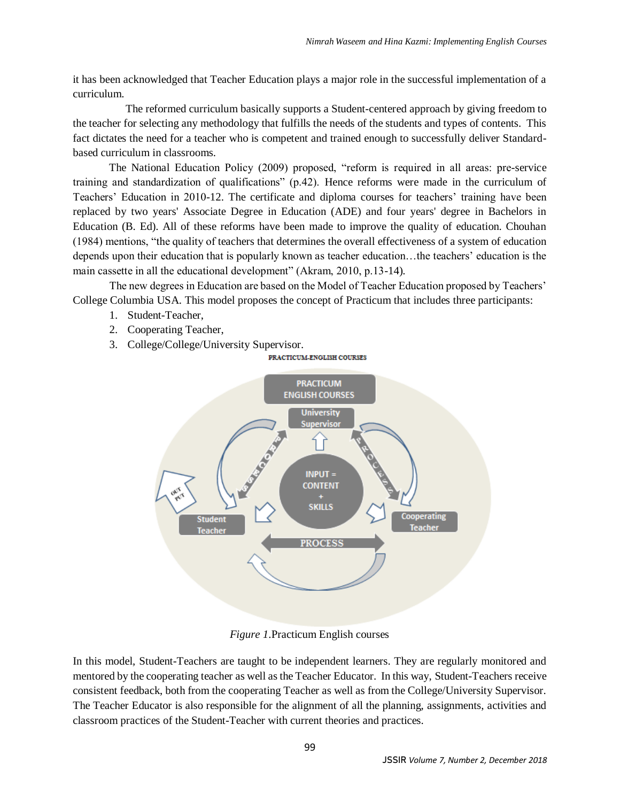it has been acknowledged that Teacher Education plays a major role in the successful implementation of a curriculum.

 The reformed curriculum basically supports a Student-centered approach by giving freedom to the teacher for selecting any methodology that fulfills the needs of the students and types of contents. This fact dictates the need for a teacher who is competent and trained enough to successfully deliver Standardbased curriculum in classrooms.

 The National Education Policy (2009) proposed, "reform is required in all areas: pre-service training and standardization of qualifications" (p.42). Hence reforms were made in the curriculum of Teachers' Education in 2010-12. The certificate and diploma courses for teachers' training have been replaced by two years' Associate Degree in Education (ADE) and four years' degree in Bachelors in Education (B. Ed). All of these reforms have been made to improve the quality of education. Chouhan (1984) mentions, "the quality of teachers that determines the overall effectiveness of a system of education depends upon their education that is popularly known as teacher education…the teachers' education is the main cassette in all the educational development" (Akram, 2010, p.13-14).

The new degrees in Education are based on the Model of Teacher Education proposed by Teachers' College Columbia USA. This model proposes the concept of Practicum that includes three participants:

- 1. Student-Teacher,
- 2. Cooperating Teacher,
- 3. College/College/University Supervisor.



*Figure 1*.Practicum English courses

In this model, Student-Teachers are taught to be independent learners. They are regularly monitored and mentored by the cooperating teacher as well as the Teacher Educator. In this way, Student-Teachers receive consistent feedback, both from the cooperating Teacher as well as from the College/University Supervisor. The Teacher Educator is also responsible for the alignment of all the planning, assignments, activities and classroom practices of the Student-Teacher with current theories and practices.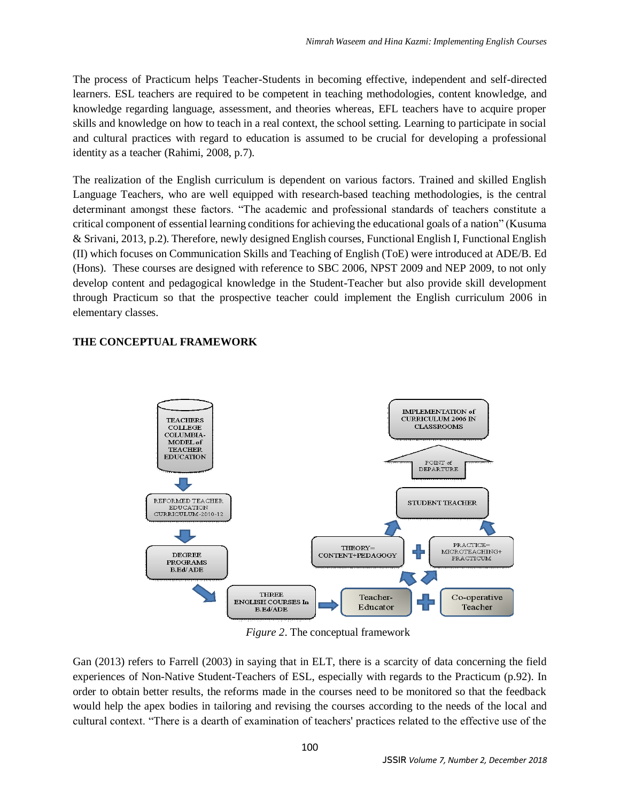The process of Practicum helps Teacher-Students in becoming effective, independent and self-directed learners. ESL teachers are required to be competent in teaching methodologies, content knowledge, and knowledge regarding language, assessment, and theories whereas, EFL teachers have to acquire proper skills and knowledge on how to teach in a real context, the school setting. Learning to participate in social and cultural practices with regard to education is assumed to be crucial for developing a professional identity as a teacher (Rahimi, 2008, p.7).

The realization of the English curriculum is dependent on various factors. Trained and skilled English Language Teachers, who are well equipped with research-based teaching methodologies, is the central determinant amongst these factors. "The academic and professional standards of teachers constitute a critical component of essential learning conditions for achieving the educational goals of a nation" (Kusuma & Srivani, 2013, p.2). Therefore, newly designed English courses, Functional English I, Functional English (II) which focuses on Communication Skills and Teaching of English (ToE) were introduced at ADE/B. Ed (Hons). These courses are designed with reference to SBC 2006, NPST 2009 and NEP 2009, to not only develop content and pedagogical knowledge in the Student-Teacher but also provide skill development through Practicum so that the prospective teacher could implement the English curriculum 2006 in elementary classes.

## **THE CONCEPTUAL FRAMEWORK**



*Figure 2*. The conceptual framework

Gan (2013) refers to Farrell (2003) in saying that in ELT, there is a scarcity of data concerning the field experiences of Non-Native Student-Teachers of ESL, especially with regards to the Practicum (p.92). In order to obtain better results, the reforms made in the courses need to be monitored so that the feedback would help the apex bodies in tailoring and revising the courses according to the needs of the local and cultural context. "There is a dearth of examination of teachers' practices related to the effective use of the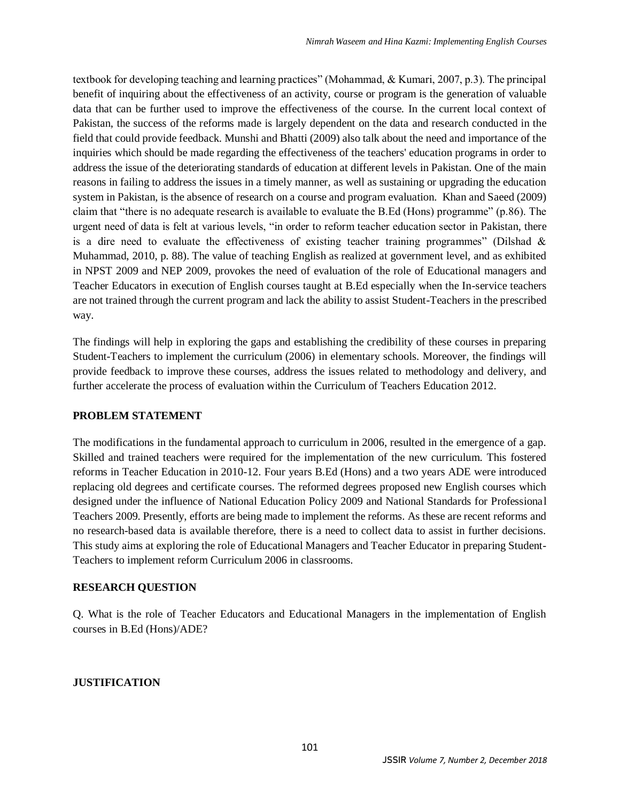textbook for developing teaching and learning practices" (Mohammad, & Kumari, 2007, p.3). The principal benefit of inquiring about the effectiveness of an activity, course or program is the generation of valuable data that can be further used to improve the effectiveness of the course. In the current local context of Pakistan, the success of the reforms made is largely dependent on the data and research conducted in the field that could provide feedback. Munshi and Bhatti (2009) also talk about the need and importance of the inquiries which should be made regarding the effectiveness of the teachers' education programs in order to address the issue of the deteriorating standards of education at different levels in Pakistan. One of the main reasons in failing to address the issues in a timely manner, as well as sustaining or upgrading the education system in Pakistan, is the absence of research on a course and program evaluation. Khan and Saeed (2009) claim that "there is no adequate research is available to evaluate the B.Ed (Hons) programme" (p.86). The urgent need of data is felt at various levels, "in order to reform teacher education sector in Pakistan, there is a dire need to evaluate the effectiveness of existing teacher training programmes" (Dilshad  $\&$ Muhammad, 2010, p. 88). The value of teaching English as realized at government level, and as exhibited in NPST 2009 and NEP 2009, provokes the need of evaluation of the role of Educational managers and Teacher Educators in execution of English courses taught at B.Ed especially when the In-service teachers are not trained through the current program and lack the ability to assist Student-Teachers in the prescribed way.

The findings will help in exploring the gaps and establishing the credibility of these courses in preparing Student-Teachers to implement the curriculum (2006) in elementary schools. Moreover, the findings will provide feedback to improve these courses, address the issues related to methodology and delivery, and further accelerate the process of evaluation within the Curriculum of Teachers Education 2012.

## **PROBLEM STATEMENT**

The modifications in the fundamental approach to curriculum in 2006, resulted in the emergence of a gap. Skilled and trained teachers were required for the implementation of the new curriculum. This fostered reforms in Teacher Education in 2010-12. Four years B.Ed (Hons) and a two years ADE were introduced replacing old degrees and certificate courses. The reformed degrees proposed new English courses which designed under the influence of National Education Policy 2009 and National Standards for Professional Teachers 2009. Presently, efforts are being made to implement the reforms. As these are recent reforms and no research-based data is available therefore, there is a need to collect data to assist in further decisions. This study aims at exploring the role of Educational Managers and Teacher Educator in preparing Student-Teachers to implement reform Curriculum 2006 in classrooms.

# **RESEARCH QUESTION**

Q. What is the role of Teacher Educators and Educational Managers in the implementation of English courses in B.Ed (Hons)/ADE?

# **JUSTIFICATION**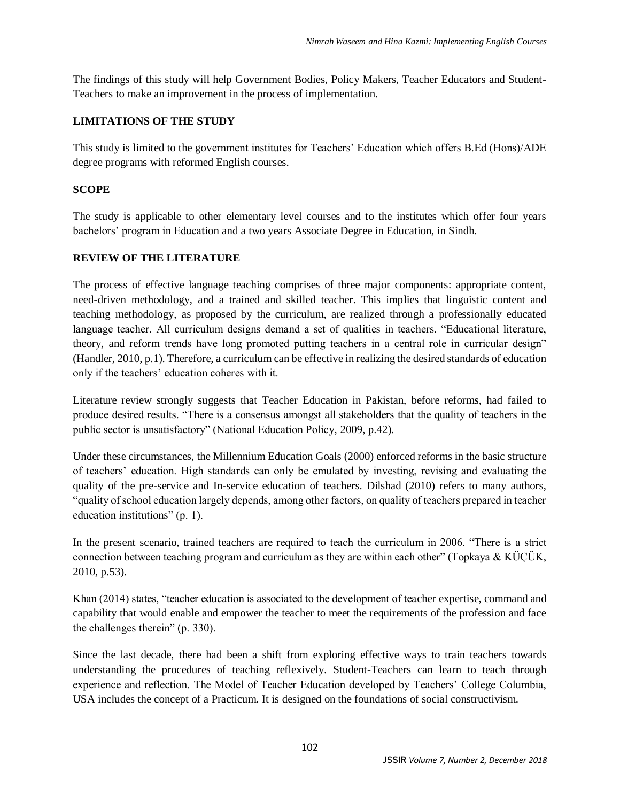The findings of this study will help Government Bodies, Policy Makers, Teacher Educators and Student-Teachers to make an improvement in the process of implementation.

### **LIMITATIONS OF THE STUDY**

This study is limited to the government institutes for Teachers' Education which offers B.Ed (Hons)/ADE degree programs with reformed English courses.

### **SCOPE**

The study is applicable to other elementary level courses and to the institutes which offer four years bachelors' program in Education and a two years Associate Degree in Education, in Sindh.

#### **REVIEW OF THE LITERATURE**

The process of effective language teaching comprises of three major components: appropriate content, need-driven methodology, and a trained and skilled teacher. This implies that linguistic content and teaching methodology, as proposed by the curriculum, are realized through a professionally educated language teacher. All curriculum designs demand a set of qualities in teachers. "Educational literature, theory, and reform trends have long promoted putting teachers in a central role in curricular design" (Handler, 2010, p.1). Therefore, a curriculum can be effective in realizing the desired standards of education only if the teachers' education coheres with it.

Literature review strongly suggests that Teacher Education in Pakistan, before reforms, had failed to produce desired results. "There is a consensus amongst all stakeholders that the quality of teachers in the public sector is unsatisfactory" (National Education Policy, 2009, p.42).

Under these circumstances, the Millennium Education Goals (2000) enforced reforms in the basic structure of teachers' education. High standards can only be emulated by investing, revising and evaluating the quality of the pre-service and In-service education of teachers. Dilshad (2010) refers to many authors, "quality of school education largely depends, among other factors, on quality of teachers prepared in teacher education institutions" (p. 1).

In the present scenario, trained teachers are required to teach the curriculum in 2006. "There is a strict connection between teaching program and curriculum as they are within each other" (Topkaya & KÜÇÜK, 2010, p.53).

Khan (2014) states, "teacher education is associated to the development of teacher expertise, command and capability that would enable and empower the teacher to meet the requirements of the profession and face the challenges therein" (p. 330).

Since the last decade, there had been a shift from exploring effective ways to train teachers towards understanding the procedures of teaching reflexively. Student-Teachers can learn to teach through experience and reflection. The Model of Teacher Education developed by Teachers' College Columbia, USA includes the concept of a Practicum. It is designed on the foundations of social constructivism.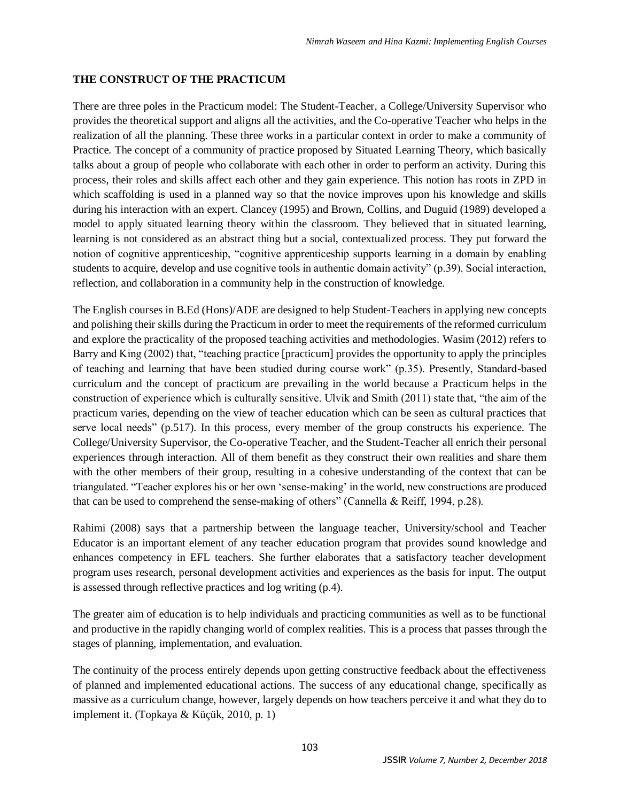## **THE CONSTRUCT OF THE PRACTICUM**

There are three poles in the Practicum model: The Student-Teacher, a College/University Supervisor who provides the theoretical support and aligns all the activities, and the Co-operative Teacher who helps in the realization of all the planning. These three works in a particular context in order to make a community of Practice. The concept of a community of practice proposed by Situated Learning Theory, which basically talks about a group of people who collaborate with each other in order to perform an activity. During this process, their roles and skills affect each other and they gain experience. This notion has roots in ZPD in which scaffolding is used in a planned way so that the novice improves upon his knowledge and skills during his interaction with an expert. Clancey (1995) and Brown, Collins, and Duguid (1989) developed a model to apply situated learning theory within the classroom. They believed that in situated learning, learning is not considered as an abstract thing but a social, contextualized process. They put forward the notion of cognitive apprenticeship, "cognitive apprenticeship supports learning in a domain by enabling students to acquire, develop and use cognitive tools in authentic domain activity" (p.39). Social interaction, reflection, and collaboration in a community help in the construction of knowledge.

The English courses in B.Ed (Hons)/ADE are designed to help Student-Teachers in applying new concepts and polishing their skills during the Practicum in order to meet the requirements of the reformed curriculum and explore the practicality of the proposed teaching activities and methodologies. Wasim (2012) refers to Barry and King (2002) that, "teaching practice [practicum] provides the opportunity to apply the principles of teaching and learning that have been studied during course work" (p.35). Presently, Standard-based curriculum and the concept of practicum are prevailing in the world because a Practicum helps in the construction of experience which is culturally sensitive. Ulvik and Smith (2011) state that, "the aim of the practicum varies, depending on the view of teacher education which can be seen as cultural practices that serve local needs" (p.517). In this process, every member of the group constructs his experience. The College/University Supervisor, the Co-operative Teacher, and the Student-Teacher all enrich their personal experiences through interaction. All of them benefit as they construct their own realities and share them with the other members of their group, resulting in a cohesive understanding of the context that can be triangulated. "Teacher explores his or her own 'sense-making' in the world, new constructions are produced that can be used to comprehend the sense-making of others" (Cannella & Reiff, 1994, p.28).

Rahimi (2008) says that a partnership between the language teacher, University/school and Teacher Educator is an important element of any teacher education program that provides sound knowledge and enhances competency in EFL teachers. She further elaborates that a satisfactory teacher development program uses research, personal development activities and experiences as the basis for input. The output is assessed through reflective practices and log writing (p.4).

The greater aim of education is to help individuals and practicing communities as well as to be functional and productive in the rapidly changing world of complex realities. This is a process that passes through the stages of planning, implementation, and evaluation.

The continuity of the process entirely depends upon getting constructive feedback about the effectiveness of planned and implemented educational actions. The success of any educational change, specifically as massive as a curriculum change, however, largely depends on how teachers perceive it and what they do to implement it. (Topkaya & Küçük, 2010, p. 1)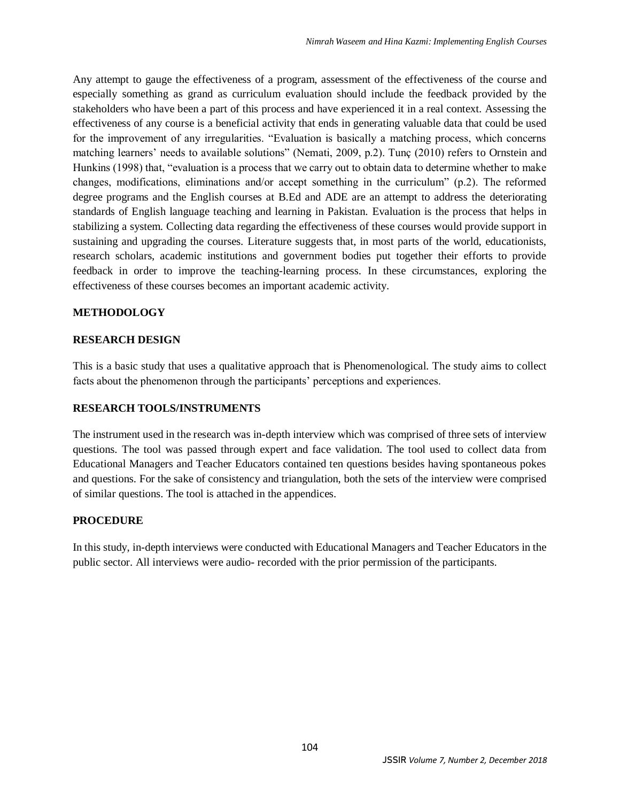Any attempt to gauge the effectiveness of a program, assessment of the effectiveness of the course and especially something as grand as curriculum evaluation should include the feedback provided by the stakeholders who have been a part of this process and have experienced it in a real context. Assessing the effectiveness of any course is a beneficial activity that ends in generating valuable data that could be used for the improvement of any irregularities. "Evaluation is basically a matching process, which concerns matching learners' needs to available solutions" (Nemati, 2009, p.2). Tunç (2010) refers to Ornstein and Hunkins (1998) that, "evaluation is a process that we carry out to obtain data to determine whether to make changes, modifications, eliminations and/or accept something in the curriculum" (p.2). The reformed degree programs and the English courses at B.Ed and ADE are an attempt to address the deteriorating standards of English language teaching and learning in Pakistan. Evaluation is the process that helps in stabilizing a system. Collecting data regarding the effectiveness of these courses would provide support in sustaining and upgrading the courses. Literature suggests that, in most parts of the world, educationists, research scholars, academic institutions and government bodies put together their efforts to provide feedback in order to improve the teaching-learning process. In these circumstances, exploring the effectiveness of these courses becomes an important academic activity.

## **METHODOLOGY**

## **RESEARCH DESIGN**

This is a basic study that uses a qualitative approach that is Phenomenological. The study aims to collect facts about the phenomenon through the participants' perceptions and experiences.

## **RESEARCH TOOLS/INSTRUMENTS**

The instrument used in the research was in-depth interview which was comprised of three sets of interview questions. The tool was passed through expert and face validation. The tool used to collect data from Educational Managers and Teacher Educators contained ten questions besides having spontaneous pokes and questions. For the sake of consistency and triangulation, both the sets of the interview were comprised of similar questions. The tool is attached in the appendices.

## **PROCEDURE**

In this study, in-depth interviews were conducted with Educational Managers and Teacher Educators in the public sector. All interviews were audio- recorded with the prior permission of the participants.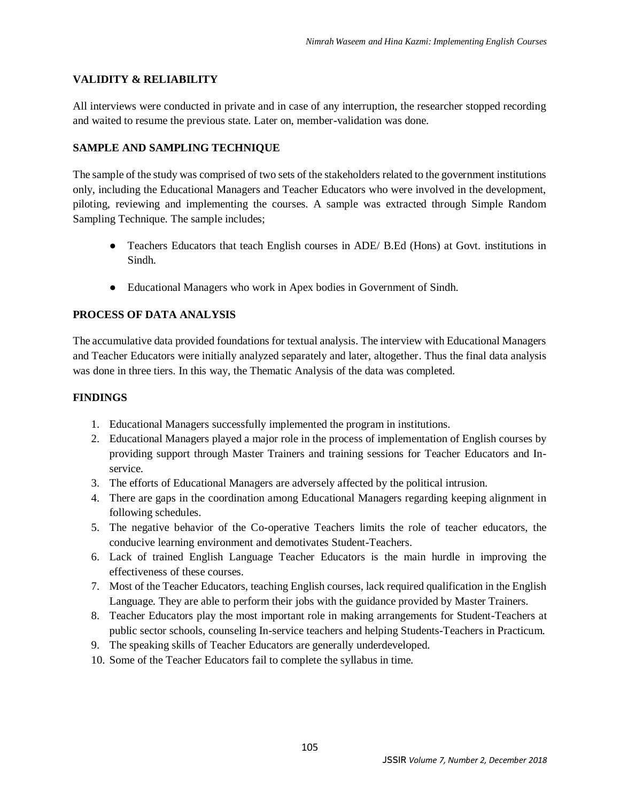## **VALIDITY & RELIABILITY**

All interviews were conducted in private and in case of any interruption, the researcher stopped recording and waited to resume the previous state. Later on, member-validation was done.

## **SAMPLE AND SAMPLING TECHNIQUE**

The sample of the study was comprised of two sets of the stakeholders related to the government institutions only, including the Educational Managers and Teacher Educators who were involved in the development, piloting, reviewing and implementing the courses. A sample was extracted through Simple Random Sampling Technique. The sample includes;

- Teachers Educators that teach English courses in ADE/ B.Ed (Hons) at Govt. institutions in Sindh.
- Educational Managers who work in Apex bodies in Government of Sindh.

# **PROCESS OF DATA ANALYSIS**

The accumulative data provided foundations for textual analysis. The interview with Educational Managers and Teacher Educators were initially analyzed separately and later, altogether. Thus the final data analysis was done in three tiers. In this way, the Thematic Analysis of the data was completed.

### **FINDINGS**

- 1. Educational Managers successfully implemented the program in institutions.
- 2. Educational Managers played a major role in the process of implementation of English courses by providing support through Master Trainers and training sessions for Teacher Educators and Inservice.
- 3. The efforts of Educational Managers are adversely affected by the political intrusion.
- 4. There are gaps in the coordination among Educational Managers regarding keeping alignment in following schedules.
- 5. The negative behavior of the Co-operative Teachers limits the role of teacher educators, the conducive learning environment and demotivates Student-Teachers.
- 6. Lack of trained English Language Teacher Educators is the main hurdle in improving the effectiveness of these courses.
- 7. Most of the Teacher Educators, teaching English courses, lack required qualification in the English Language. They are able to perform their jobs with the guidance provided by Master Trainers.
- 8. Teacher Educators play the most important role in making arrangements for Student-Teachers at public sector schools, counseling In-service teachers and helping Students-Teachers in Practicum.
- 9. The speaking skills of Teacher Educators are generally underdeveloped.
- 10. Some of the Teacher Educators fail to complete the syllabus in time.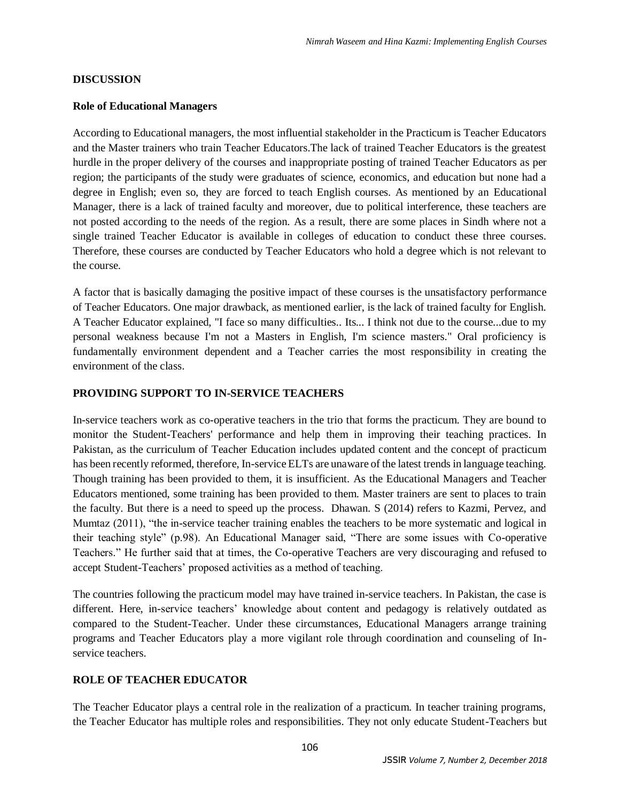#### **DISCUSSION**

#### **Role of Educational Managers**

According to Educational managers, the most influential stakeholder in the Practicum is Teacher Educators and the Master trainers who train Teacher Educators.The lack of trained Teacher Educators is the greatest hurdle in the proper delivery of the courses and inappropriate posting of trained Teacher Educators as per region; the participants of the study were graduates of science, economics, and education but none had a degree in English; even so, they are forced to teach English courses. As mentioned by an Educational Manager, there is a lack of trained faculty and moreover, due to political interference, these teachers are not posted according to the needs of the region. As a result, there are some places in Sindh where not a single trained Teacher Educator is available in colleges of education to conduct these three courses. Therefore, these courses are conducted by Teacher Educators who hold a degree which is not relevant to the course.

A factor that is basically damaging the positive impact of these courses is the unsatisfactory performance of Teacher Educators. One major drawback, as mentioned earlier, is the lack of trained faculty for English. A Teacher Educator explained, "I face so many difficulties.. Its... I think not due to the course...due to my personal weakness because I'm not a Masters in English, I'm science masters." Oral proficiency is fundamentally environment dependent and a Teacher carries the most responsibility in creating the environment of the class.

#### **PROVIDING SUPPORT TO IN-SERVICE TEACHERS**

In-service teachers work as co-operative teachers in the trio that forms the practicum. They are bound to monitor the Student-Teachers' performance and help them in improving their teaching practices. In Pakistan, as the curriculum of Teacher Education includes updated content and the concept of practicum has been recently reformed, therefore, In-service ELTs are unaware of the latest trends in language teaching. Though training has been provided to them, it is insufficient. As the Educational Managers and Teacher Educators mentioned, some training has been provided to them. Master trainers are sent to places to train the faculty. But there is a need to speed up the process. Dhawan. S (2014) refers to Kazmi, Pervez, and Mumtaz (2011), "the in-service teacher training enables the teachers to be more systematic and logical in their teaching style" (p.98). An Educational Manager said, "There are some issues with Co-operative Teachers." He further said that at times, the Co-operative Teachers are very discouraging and refused to accept Student-Teachers' proposed activities as a method of teaching.

The countries following the practicum model may have trained in-service teachers. In Pakistan, the case is different. Here, in-service teachers' knowledge about content and pedagogy is relatively outdated as compared to the Student-Teacher. Under these circumstances, Educational Managers arrange training programs and Teacher Educators play a more vigilant role through coordination and counseling of Inservice teachers.

#### **ROLE OF TEACHER EDUCATOR**

The Teacher Educator plays a central role in the realization of a practicum. In teacher training programs, the Teacher Educator has multiple roles and responsibilities. They not only educate Student-Teachers but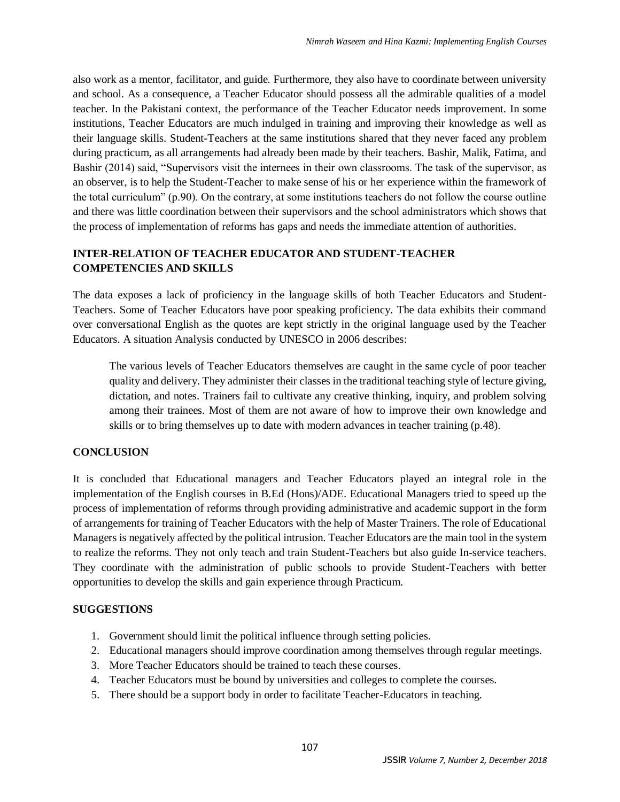also work as a mentor, facilitator, and guide. Furthermore, they also have to coordinate between university and school. As a consequence, a Teacher Educator should possess all the admirable qualities of a model teacher. In the Pakistani context, the performance of the Teacher Educator needs improvement. In some institutions, Teacher Educators are much indulged in training and improving their knowledge as well as their language skills. Student-Teachers at the same institutions shared that they never faced any problem during practicum, as all arrangements had already been made by their teachers. Bashir, Malik, Fatima, and Bashir (2014) said, "Supervisors visit the internees in their own classrooms. The task of the supervisor, as an observer, is to help the Student-Teacher to make sense of his or her experience within the framework of the total curriculum" (p.90). On the contrary, at some institutions teachers do not follow the course outline and there was little coordination between their supervisors and the school administrators which shows that the process of implementation of reforms has gaps and needs the immediate attention of authorities.

## **INTER**-**RELATION OF TEACHER EDUCATOR AND STUDENT**-**TEACHER COMPETENCIES AND SKILLS**

The data exposes a lack of proficiency in the language skills of both Teacher Educators and Student-Teachers. Some of Teacher Educators have poor speaking proficiency. The data exhibits their command over conversational English as the quotes are kept strictly in the original language used by the Teacher Educators. A situation Analysis conducted by UNESCO in 2006 describes:

The various levels of Teacher Educators themselves are caught in the same cycle of poor teacher quality and delivery. They administer their classes in the traditional teaching style of lecture giving, dictation, and notes. Trainers fail to cultivate any creative thinking, inquiry, and problem solving among their trainees. Most of them are not aware of how to improve their own knowledge and skills or to bring themselves up to date with modern advances in teacher training (p.48).

## **CONCLUSION**

It is concluded that Educational managers and Teacher Educators played an integral role in the implementation of the English courses in B.Ed (Hons)/ADE. Educational Managers tried to speed up the process of implementation of reforms through providing administrative and academic support in the form of arrangements for training of Teacher Educators with the help of Master Trainers. The role of Educational Managers is negatively affected by the political intrusion. Teacher Educators are the main tool in the system to realize the reforms. They not only teach and train Student-Teachers but also guide In-service teachers. They coordinate with the administration of public schools to provide Student-Teachers with better opportunities to develop the skills and gain experience through Practicum.

#### **SUGGESTIONS**

- 1. Government should limit the political influence through setting policies.
- 2. Educational managers should improve coordination among themselves through regular meetings.
- 3. More Teacher Educators should be trained to teach these courses.
- 4. Teacher Educators must be bound by universities and colleges to complete the courses.
- 5. There should be a support body in order to facilitate Teacher-Educators in teaching.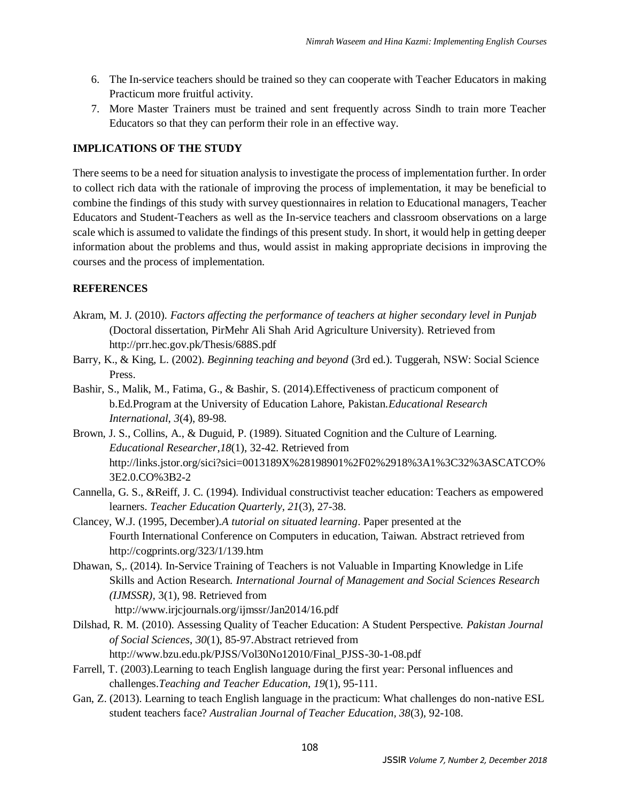- 6. The In-service teachers should be trained so they can cooperate with Teacher Educators in making Practicum more fruitful activity.
- 7. More Master Trainers must be trained and sent frequently across Sindh to train more Teacher Educators so that they can perform their role in an effective way.

# **IMPLICATIONS OF THE STUDY**

There seems to be a need for situation analysis to investigate the process of implementation further. In order to collect rich data with the rationale of improving the process of implementation, it may be beneficial to combine the findings of this study with survey questionnaires in relation to Educational managers, Teacher Educators and Student-Teachers as well as the In-service teachers and classroom observations on a large scale which is assumed to validate the findings of this present study. In short, it would help in getting deeper information about the problems and thus, would assist in making appropriate decisions in improving the courses and the process of implementation.

## **REFERENCES**

- Akram, M. J. (2010). *Factors affecting the performance of teachers at higher secondary level in Punjab* (Doctoral dissertation, PirMehr Ali Shah Arid Agriculture University). Retrieved from http://prr.hec.gov.pk/Thesis/688S.pdf
- Barry, K., & King, L. (2002). *Beginning teaching and beyond* (3rd ed.). Tuggerah, NSW: Social Science Press.
- Bashir, S., Malik, M., Fatima, G., & Bashir, S. (2014).Effectiveness of practicum component of b.Ed.Program at the University of Education Lahore, Pakistan.*Educational Research International*, *3*(4), 89-98.
- Brown, J. S., Collins, A., & Duguid, P. (1989). Situated Cognition and the Culture of Learning. *Educational Researcher*,*18*(1), 32-42. Retrieved from http://links.jstor.org/sici?sici=0013189X%28198901%2F02%2918%3A1%3C32%3ASCATCO% 3E2.0.CO%3B2-2
- Cannella, G. S., &Reiff, J. C. (1994). Individual constructivist teacher education: Teachers as empowered learners. *Teacher Education Quarterly*, *21*(3), 27-38.
- Clancey, W.J. (1995, December).*A tutorial on situated learning*. Paper presented at the Fourth International Conference on Computers in education, Taiwan. Abstract retrieved from http://cogprints.org/323/1/139.htm
- Dhawan, S,. (2014). In-Service Training of Teachers is not Valuable in Imparting Knowledge in Life Skills and Action Research*. International Journal of Management and Social Sciences Research (IJMSSR),* 3(1), 98. Retrieved from http://www.irjcjournals.org/ijmssr/Jan2014/16.pdf
- Dilshad, R. M. (2010). Assessing Quality of Teacher Education: A Student Perspective. *Pakistan Journal of Social Sciences*, *30*(1), 85-97.Abstract retrieved from http://www.bzu.edu.pk/PJSS/Vol30No12010/Final\_PJSS-30-1-08.pdf
- Farrell, T. (2003).Learning to teach English language during the first year: Personal influences and challenges.*Teaching and Teacher Education*, *19*(1), 95-111.
- Gan, Z. (2013). Learning to teach English language in the practicum: What challenges do non-native ESL student teachers face? *Australian Journal of Teacher Education, 38*(3), 92-108.